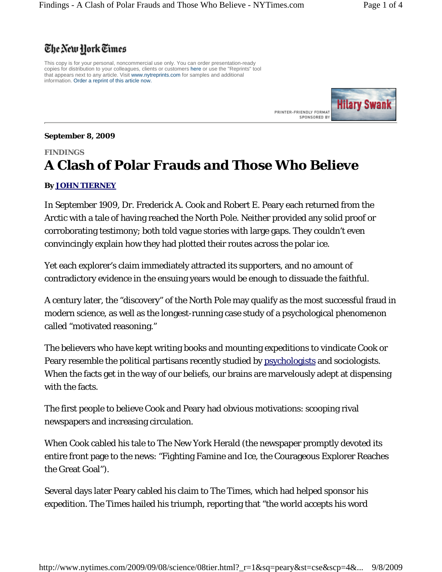## The New Hork Times

This copy is for your personal, noncommercial use only. You can order presentation-ready copies for distribution to your colleagues, clients or customers here or use the "Reprints" tool that appears next to any article. Visit www.nytreprints.com for samples and additional information. Order a reprint of this article now.

## **September 8, 2009**

## **FINDINGS A Clash of Polar Frauds and Those Who Believe**

## **By JOHN TIERNEY**

In September 1909, Dr. Frederick A. Cook and Robert E. Peary each returned from the Arctic with a tale of having reached the North Pole. Neither provided any solid proof or corroborating testimony; both told vague stories with large gaps. They couldn't even convincingly explain how they had plotted their routes across the polar ice.

Yet each explorer's claim immediately attracted its supporters, and no amount of contradictory evidence in the ensuing years would be enough to dissuade the faithful.

A century later, the "discovery" of the North Pole may qualify as the most successful fraud in modern science, as well as the longest-running case study of a psychological phenomenon called "motivated reasoning."

The believers who have kept writing books and mounting expeditions to vindicate Cook or Peary resemble the political partisans recently studied by psychologists and sociologists. When the facts get in the way of our beliefs, our brains are marvelously adept at dispensing with the facts.

The first people to believe Cook and Peary had obvious motivations: scooping rival newspapers and increasing circulation.

When Cook cabled his tale to The New York Herald (the newspaper promptly devoted its entire front page to the news: "Fighting Famine and Ice, the Courageous Explorer Reaches the Great Goal").

Several days later Peary cabled his claim to The Times, which had helped sponsor his expedition. The Times hailed his triumph, reporting that "the world accepts his word

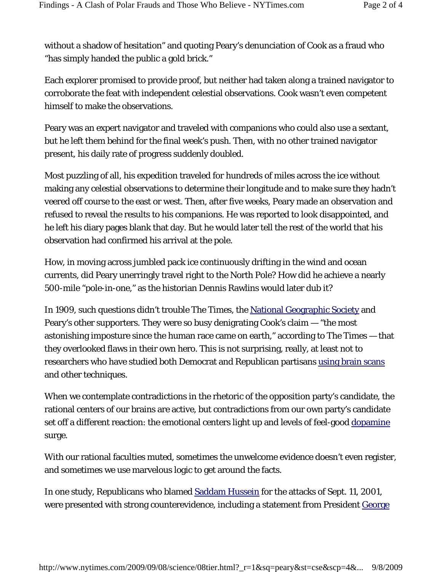without a shadow of hesitation" and quoting Peary's denunciation of Cook as a fraud who "has simply handed the public a gold brick."

Each explorer promised to provide proof, but neither had taken along a trained navigator to corroborate the feat with independent celestial observations. Cook wasn't even competent himself to make the observations.

Peary was an expert navigator and traveled with companions who could also use a sextant, but he left them behind for the final week's push. Then, with no other trained navigator present, his daily rate of progress suddenly doubled.

Most puzzling of all, his expedition traveled for hundreds of miles across the ice without making any celestial observations to determine their longitude and to make sure they hadn't veered off course to the east or west. Then, after five weeks, Peary made an observation and refused to reveal the results to his companions. He was reported to look disappointed, and he left his diary pages blank that day. But he would later tell the rest of the world that his observation had confirmed his arrival at the pole.

How, in moving across jumbled pack ice continuously drifting in the wind and ocean currents, did Peary unerringly travel right to the North Pole? How did he achieve a nearly 500-mile "pole-in-one," as the historian Dennis Rawlins would later dub it?

In 1909, such questions didn't trouble The Times, the National Geographic Society and Peary's other supporters. They were so busy denigrating Cook's claim — "the most astonishing imposture since the human race came on earth," according to The Times — that they overlooked flaws in their own hero. This is not surprising, really, at least not to researchers who have studied both Democrat and Republican partisans using brain scans and other techniques.

When we contemplate contradictions in the rhetoric of the opposition party's candidate, the rational centers of our brains are active, but contradictions from our own party's candidate set off a different reaction: the emotional centers light up and levels of feel-good dopamine surge.

With our rational faculties muted, sometimes the unwelcome evidence doesn't even register, and sometimes we use marvelous logic to get around the facts.

In one study, Republicans who blamed Saddam Hussein for the attacks of Sept. 11, 2001, were presented with strong counterevidence, including a statement from President George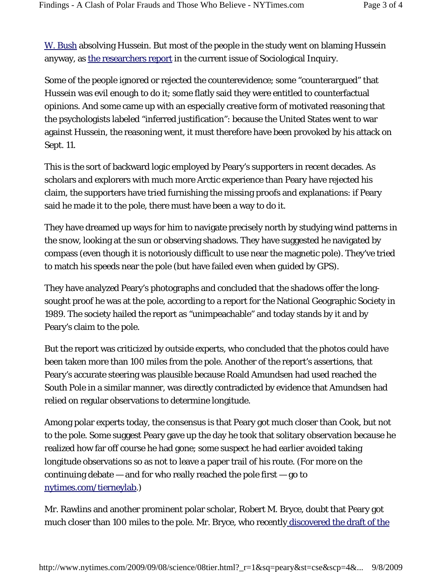<u>W. Bush</u> absolving Hussein. But most of the people in the study went on blaming Hussein anyway, as the researchers report in the current issue of Sociological Inquiry.

Some of the people ignored or rejected the counterevidence; some "counterargued" that Hussein was evil enough to do it; some flatly said they were entitled to counterfactual opinions. And some came up with an especially creative form of motivated reasoning that the psychologists labeled "inferred justification": because the United States went to war against Hussein, the reasoning went, it must therefore have been provoked by his attack on Sept. 11.

This is the sort of backward logic employed by Peary's supporters in recent decades. As scholars and explorers with much more Arctic experience than Peary have rejected his claim, the supporters have tried furnishing the missing proofs and explanations: if Peary said he made it to the pole, there must have been a way to do it.

They have dreamed up ways for him to navigate precisely north by studying wind patterns in the snow, looking at the sun or observing shadows. They have suggested he navigated by compass (even though it is notoriously difficult to use near the magnetic pole). They've tried to match his speeds near the pole (but have failed even when guided by GPS).

They have analyzed Peary's photographs and concluded that the shadows offer the longsought proof he was at the pole, according to a report for the National Geographic Society in 1989. The society hailed the report as "unimpeachable" and today stands by it and by Peary's claim to the pole.

But the report was criticized by outside experts, who concluded that the photos could have been taken more than 100 miles from the pole. Another of the report's assertions, that Peary's accurate steering was plausible because Roald Amundsen had used reached the South Pole in a similar manner, was directly contradicted by evidence that Amundsen had relied on regular observations to determine longitude.

Among polar experts today, the consensus is that Peary got much closer than Cook, but not to the pole. Some suggest Peary gave up the day he took that solitary observation because he realized how far off course he had gone; some suspect he had earlier avoided taking longitude observations so as not to leave a paper trail of his route. (For more on the continuing debate  $-$  and for who really reached the pole first  $-$  go to nytimes.com/tierneylab.)

Mr. Rawlins and another prominent polar scholar, Robert M. Bryce, doubt that Peary got much closer than 100 miles to the pole. Mr. Bryce, who recently discovered the draft of the